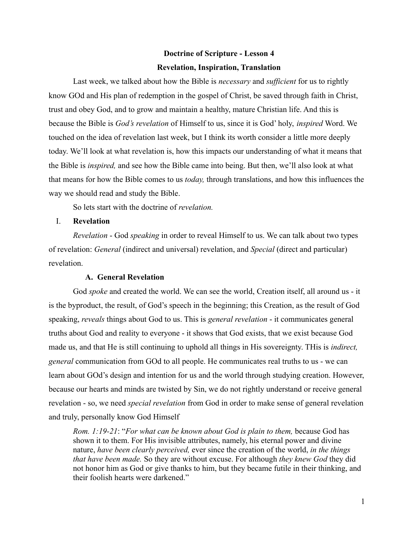# **Doctrine of Scripture - Lesson 4 Revelation, Inspiration, Translation**

Last week, we talked about how the Bible is *necessary* and *sufficient* for us to rightly know GOd and His plan of redemption in the gospel of Christ, be saved through faith in Christ, trust and obey God, and to grow and maintain a healthy, mature Christian life. And this is because the Bible is *God's revelation* of Himself to us, since it is God' holy, *inspired* Word. We touched on the idea of revelation last week, but I think its worth consider a little more deeply today. We'll look at what revelation is, how this impacts our understanding of what it means that the Bible is *inspired,* and see how the Bible came into being. But then, we'll also look at what that means for how the Bible comes to us *today,* through translations, and how this influences the way we should read and study the Bible.

So lets start with the doctrine of *revelation.*

# I. **Revelation**

*Revelation* - God *speaking* in order to reveal Himself to us. We can talk about two types of revelation: *General* (indirect and universal) revelation, and *Special* (direct and particular) revelation.

# **A. General Revelation**

God *spoke* and created the world. We can see the world, Creation itself, all around us - it is the byproduct, the result, of God's speech in the beginning; this Creation, as the result of God speaking, *reveals* things about God to us. This is *general revelation* - it communicates general truths about God and reality to everyone - it shows that God exists, that we exist because God made us, and that He is still continuing to uphold all things in His sovereignty. THis is *indirect, general* communication from GOd to all people. He communicates real truths to us - we can learn about GOd's design and intention for us and the world through studying creation. However, because our hearts and minds are twisted by Sin, we do not rightly understand or receive general revelation - so, we need *special revelation* from God in order to make sense of general revelation and truly, personally know God Himself

*Rom. 1:19-21*: "*For what can be known about God is plain to them,* because God has shown it to them. For His invisible attributes, namely, his eternal power and divine nature, *have been clearly perceived,* ever since the creation of the world, *in the things that have been made.* So they are without excuse. For although *they knew God* they did not honor him as God or give thanks to him, but they became futile in their thinking, and their foolish hearts were darkened."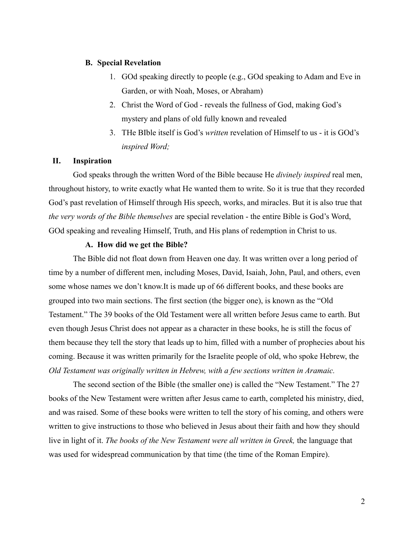# **B. Special Revelation**

- 1. GOd speaking directly to people (e.g., GOd speaking to Adam and Eve in Garden, or with Noah, Moses, or Abraham)
- 2. Christ the Word of God reveals the fullness of God, making God's mystery and plans of old fully known and revealed
- 3. THe BIble itself is God's *written* revelation of Himself to us it is GOd's *inspired Word;*

# **II. Inspiration**

God speaks through the written Word of the Bible because He *divinely inspired* real men, throughout history, to write exactly what He wanted them to write. So it is true that they recorded God's past revelation of Himself through His speech, works, and miracles. But it is also true that *the very words of the Bible themselves* are special revelation - the entire Bible is God's Word, GOd speaking and revealing Himself, Truth, and His plans of redemption in Christ to us.

### **A. How did we get the Bible?**

The Bible did not float down from Heaven one day. It was written over a long period of time by a number of different men, including Moses, David, Isaiah, John, Paul, and others, even some whose names we don't know.It is made up of 66 different books, and these books are grouped into two main sections. The first section (the bigger one), is known as the "Old Testament." The 39 books of the Old Testament were all written before Jesus came to earth. But even though Jesus Christ does not appear as a character in these books, he is still the focus of them because they tell the story that leads up to him, filled with a number of prophecies about his coming. Because it was written primarily for the Israelite people of old, who spoke Hebrew, the *Old Testament was originally written in Hebrew, with a few sections written in Aramaic.*

The second section of the Bible (the smaller one) is called the "New Testament." The 27 books of the New Testament were written after Jesus came to earth, completed his ministry, died, and was raised. Some of these books were written to tell the story of his coming, and others were written to give instructions to those who believed in Jesus about their faith and how they should live in light of it. *The books of the New Testament were all written in Greek,* the language that was used for widespread communication by that time (the time of the Roman Empire).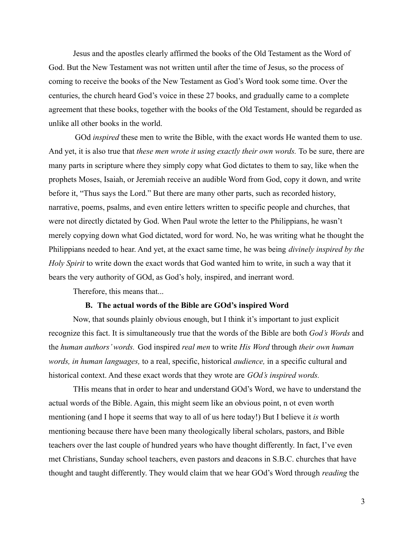Jesus and the apostles clearly affirmed the books of the Old Testament as the Word of God. But the New Testament was not written until after the time of Jesus, so the process of coming to receive the books of the New Testament as God's Word took some time. Over the centuries, the church heard God's voice in these 27 books, and gradually came to a complete agreement that these books, together with the books of the Old Testament, should be regarded as unlike all other books in the world.

GOd *inspired* these men to write the Bible, with the exact words He wanted them to use. And yet, it is also true that *these men wrote it using exactly their own words.* To be sure, there are many parts in scripture where they simply copy what God dictates to them to say, like when the prophets Moses, Isaiah, or Jeremiah receive an audible Word from God, copy it down, and write before it, "Thus says the Lord." But there are many other parts, such as recorded history, narrative, poems, psalms, and even entire letters written to specific people and churches, that were not directly dictated by God. When Paul wrote the letter to the Philippians, he wasn't merely copying down what God dictated, word for word. No, he was writing what he thought the Philippians needed to hear. And yet, at the exact same time, he was being *divinely inspired by the Holy Spirit* to write down the exact words that God wanted him to write, in such a way that it bears the very authority of GOd, as God's holy, inspired, and inerrant word.

Therefore, this means that...

#### **B. The actual words of the Bible are GOd's inspired Word**

Now, that sounds plainly obvious enough, but I think it's important to just explicit recognize this fact. It is simultaneously true that the words of the Bible are both *God's Words* and the *human authors' words.* God inspired *real men* to write *His Word* through *their own human words, in human languages,* to a real, specific, historical *audience,* in a specific cultural and historical context. And these exact words that they wrote are *GOd's inspired words.*

THis means that in order to hear and understand GOd's Word, we have to understand the actual words of the Bible. Again, this might seem like an obvious point, n ot even worth mentioning (and I hope it seems that way to all of us here today!) But I believe it *is* worth mentioning because there have been many theologically liberal scholars, pastors, and Bible teachers over the last couple of hundred years who have thought differently. In fact, I've even met Christians, Sunday school teachers, even pastors and deacons in S.B.C. churches that have thought and taught differently. They would claim that we hear GOd's Word through *reading* the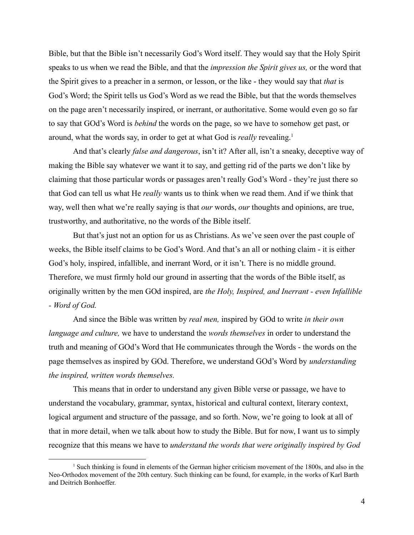Bible, but that the Bible isn't necessarily God's Word itself. They would say that the Holy Spirit speaks to us when we read the Bible, and that the *impression the Spirit gives us,* or the word that the Spirit gives to a preacher in a sermon, or lesson, or the like - they would say that *that* is God's Word; the Spirit tells us God's Word as we read the Bible, but that the words themselves on the page aren't necessarily inspired, or inerrant, or authoritative. Some would even go so far to say that GOd's Word is *behind* the words on the page, so we have to somehow get past, or around, what the words say, in order to get at what God is *really* revealing.<sup>1</sup>

And that's clearly *false and dangerous*, isn't it? After all, isn't a sneaky, deceptive way of making the Bible say whatever we want it to say, and getting rid of the parts we don't like by claiming that those particular words or passages aren't really God's Word - they're just there so that God can tell us what He *really* wants us to think when we read them. And if we think that way, well then what we're really saying is that *our* words, *our* thoughts and opinions, are true, trustworthy, and authoritative, no the words of the Bible itself.

But that's just not an option for us as Christians. As we've seen over the past couple of weeks, the Bible itself claims to be God's Word. And that's an all or nothing claim - it is either God's holy, inspired, infallible, and inerrant Word, or it isn't. There is no middle ground. Therefore, we must firmly hold our ground in asserting that the words of the Bible itself, as originally written by the men GOd inspired, are *the Holy, Inspired, and Inerrant - even Infallible - Word of God.*

And since the Bible was written by *real men,* inspired by GOd to write *in their own language and culture,* we have to understand the *words themselves* in order to understand the truth and meaning of GOd's Word that He communicates through the Words - the words on the page themselves as inspired by GOd. Therefore, we understand GOd's Word by *understanding the inspired, written words themselves.*

This means that in order to understand any given Bible verse or passage, we have to understand the vocabulary, grammar, syntax, historical and cultural context, literary context, logical argument and structure of the passage, and so forth. Now, we're going to look at all of that in more detail, when we talk about how to study the Bible. But for now, I want us to simply recognize that this means we have to *understand the words that were originally inspired by God*

<sup>&</sup>lt;sup>1</sup> Such thinking is found in elements of the German higher criticism movement of the 1800s, and also in the Neo-Orthodox movement of the 20th century. Such thinking can be found, for example, in the works of Karl Barth and Deitrich Bonhoeffer.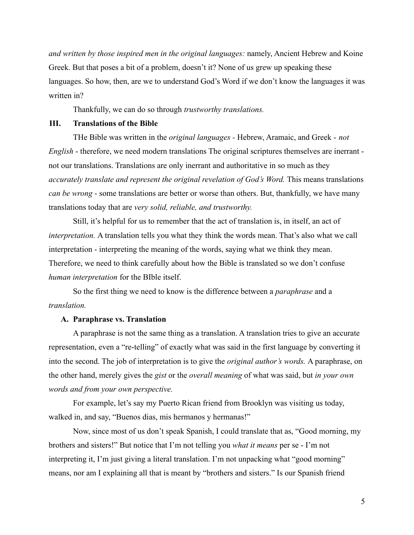*and written by those inspired men in the original languages:* namely, Ancient Hebrew and Koine Greek. But that poses a bit of a problem, doesn't it? None of us grew up speaking these languages. So how, then, are we to understand God's Word if we don't know the languages it was written in?

Thankfully, we can do so through *trustworthy translations.*

# **III. Translations of the Bible**

THe Bible was written in the *original languages -* Hebrew, Aramaic, and Greek - *not English* - therefore, we need modern translations The original scriptures themselves are inerrant not our translations. Translations are only inerrant and authoritative in so much as they *accurately translate and represent the original revelation of God's Word.* This means translations *can be wrong* - some translations are better or worse than others. But, thankfully, we have many translations today that are *very solid, reliable, and trustworthy.*

Still, it's helpful for us to remember that the act of translation is, in itself, an act of *interpretation.* A translation tells you what they think the words mean. That's also what we call interpretation - interpreting the meaning of the words, saying what we think they mean. Therefore, we need to think carefully about how the Bible is translated so we don't confuse *human interpretation* for the BIble itself.

So the first thing we need to know is the difference between a *paraphrase* and a *translation.*

## **A. Paraphrase vs. Translation**

A paraphrase is not the same thing as a translation. A translation tries to give an accurate representation, even a "re-telling" of exactly what was said in the first language by converting it into the second. The job of interpretation is to give the *original author's words.* A paraphrase, on the other hand, merely gives the *gist* or the *overall meaning* of what was said, but *in your own words and from your own perspective.*

For example, let's say my Puerto Rican friend from Brooklyn was visiting us today, walked in, and say, "Buenos dias, mis hermanos y hermanas!"

Now, since most of us don't speak Spanish, I could translate that as, "Good morning, my brothers and sisters!" But notice that I'm not telling you *what it means* per se - I'm not interpreting it, I'm just giving a literal translation. I'm not unpacking what "good morning" means, nor am I explaining all that is meant by "brothers and sisters." Is our Spanish friend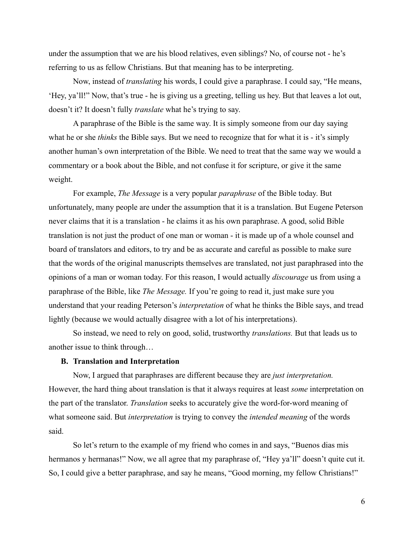under the assumption that we are his blood relatives, even siblings? No, of course not - he's referring to us as fellow Christians. But that meaning has to be interpreting.

Now, instead of *translating* his words, I could give a paraphrase. I could say, "He means, 'Hey, ya'll!" Now, that's true - he is giving us a greeting, telling us hey. But that leaves a lot out, doesn't it? It doesn't fully *translate* what he's trying to say.

A paraphrase of the Bible is the same way. It is simply someone from our day saying what he or she *thinks* the Bible says. But we need to recognize that for what it is - it's simply another human's own interpretation of the Bible. We need to treat that the same way we would a commentary or a book about the Bible, and not confuse it for scripture, or give it the same weight.

For example, *The Message* is a very popular *paraphrase* of the Bible today. But unfortunately, many people are under the assumption that it is a translation. But Eugene Peterson never claims that it is a translation - he claims it as his own paraphrase. A good, solid Bible translation is not just the product of one man or woman - it is made up of a whole counsel and board of translators and editors, to try and be as accurate and careful as possible to make sure that the words of the original manuscripts themselves are translated, not just paraphrased into the opinions of a man or woman today. For this reason, I would actually *discourage* us from using a paraphrase of the Bible, like *The Message.* If you're going to read it, just make sure you understand that your reading Peterson's *interpretation* of what he thinks the Bible says, and tread lightly (because we would actually disagree with a lot of his interpretations).

So instead, we need to rely on good, solid, trustworthy *translations.* But that leads us to another issue to think through…

#### **B. Translation and Interpretation**

Now, I argued that paraphrases are different because they are *just interpretation.* However, the hard thing about translation is that it always requires at least *some* interpretation on the part of the translator. *Translation* seeks to accurately give the word-for-word meaning of what someone said. But *interpretation* is trying to convey the *intended meaning* of the words said.

So let's return to the example of my friend who comes in and says, "Buenos dias mis hermanos y hermanas!" Now, we all agree that my paraphrase of, "Hey ya'll" doesn't quite cut it. So, I could give a better paraphrase, and say he means, "Good morning, my fellow Christians!"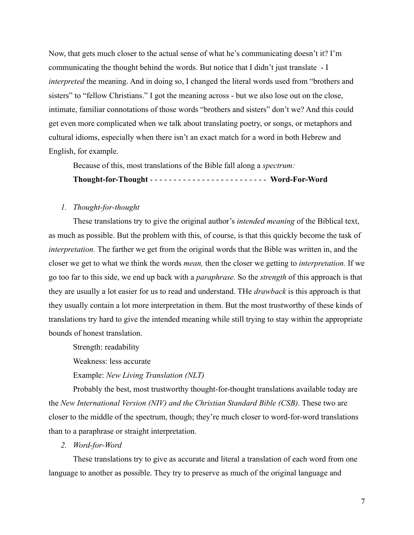Now, that gets much closer to the actual sense of what he's communicating doesn't it? I'm communicating the thought behind the words. But notice that I didn't just translate - I *interpreted* the meaning. And in doing so, I changed the literal words used from "brothers and sisters" to "fellow Christians." I got the meaning across - but we also lose out on the close, intimate, familiar connotations of those words "brothers and sisters" don't we? And this could get even more complicated when we talk about translating poetry, or songs, or metaphors and cultural idioms, especially when there isn't an exact match for a word in both Hebrew and English, for example.

Because of this, most translations of the Bible fall along a *spectrum:*

**Thought-for-Thought** - - - - - - - - - - - - - - - - - - - - - - - - - **Word-For-Word**

#### *1. Thought-for-thought*

These translations try to give the original author's *intended meaning* of the Biblical text, as much as possible. But the problem with this, of course, is that this quickly become the task of *interpretation.* The farther we get from the original words that the Bible was written in, and the closer we get to what we think the words *mean,* then the closer we getting to *interpretation.* If we go too far to this side, we end up back with a *paraphrase.* So the *strength* of this approach is that they are usually a lot easier for us to read and understand. THe *drawback* is this approach is that they usually contain a lot more interpretation in them. But the most trustworthy of these kinds of translations try hard to give the intended meaning while still trying to stay within the appropriate bounds of honest translation.

Strength: readability

Weakness: less accurate

Example: *New Living Translation (NLT)*

Probably the best, most trustworthy thought-for-thought translations available today are the *New International Version (NIV) and the Christian Standard Bible (CSB)*. These two are closer to the middle of the spectrum, though; they're much closer to word-for-word translations than to a paraphrase or straight interpretation.

# *2. Word-for-Word*

These translations try to give as accurate and literal a translation of each word from one language to another as possible. They try to preserve as much of the original language and